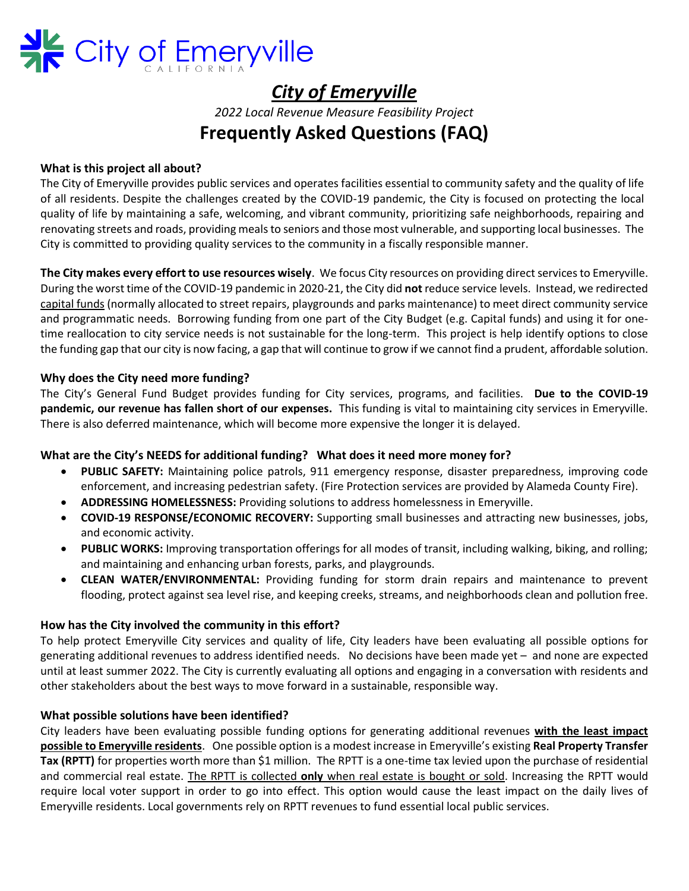

# *City of Emeryville*

*2022 Local Revenue Measure Feasibility Project*

## **Frequently Asked Questions (FAQ)**

## **What is this project all about?**

The City of Emeryville provides public services and operates facilities essential to community safety and the quality of life of all residents. Despite the challenges created by the COVID-19 pandemic, the City is focused on protecting the local quality of life by maintaining a safe, welcoming, and vibrant community, prioritizing safe neighborhoods, repairing and renovating streets and roads, providing meals to seniors and those most vulnerable, and supporting local businesses. The City is committed to providing quality services to the community in a fiscally responsible manner.

**The City makes every effort to use resources wisely**. We focus City resources on providing direct services to Emeryville. During the worst time of the COVID-19 pandemic in 2020-21, the City did **not** reduce service levels. Instead, we redirected capital funds (normally allocated to street repairs, playgrounds and parks maintenance) to meet direct community service and programmatic needs. Borrowing funding from one part of the City Budget (e.g. Capital funds) and using it for onetime reallocation to city service needs is not sustainable for the long-term. This project is help identify options to close the funding gap that our city is now facing, a gap that will continue to grow if we cannot find a prudent, affordable solution.

## **Why does the City need more funding?**

The City's General Fund Budget provides funding for City services, programs, and facilities. **Due to the COVID-19 pandemic, our revenue has fallen short of our expenses.** This funding is vital to maintaining city services in Emeryville. There is also deferred maintenance, which will become more expensive the longer it is delayed.

## **What are the City's NEEDS for additional funding? What does it need more money for?**

- **PUBLIC SAFETY:** Maintaining police patrols, 911 emergency response, disaster preparedness, improving code enforcement, and increasing pedestrian safety. (Fire Protection services are provided by Alameda County Fire).
- **ADDRESSING HOMELESSNESS:** Providing solutions to address homelessness in Emeryville.
- **COVID-19 RESPONSE/ECONOMIC RECOVERY:** Supporting small businesses and attracting new businesses, jobs, and economic activity.
- **PUBLIC WORKS:** Improving transportation offerings for all modes of transit, including walking, biking, and rolling; and maintaining and enhancing urban forests, parks, and playgrounds.
- **CLEAN WATER/ENVIRONMENTAL:** Providing funding for storm drain repairs and maintenance to prevent flooding, protect against sea level rise, and keeping creeks, streams, and neighborhoods clean and pollution free.

## **How has the City involved the community in this effort?**

To help protect Emeryville City services and quality of life, City leaders have been evaluating all possible options for generating additional revenues to address identified needs. No decisions have been made yet – and none are expected until at least summer 2022. The City is currently evaluating all options and engaging in a conversation with residents and other stakeholders about the best ways to move forward in a sustainable, responsible way.

## **What possible solutions have been identified?**

City leaders have been evaluating possible funding options for generating additional revenues **with the least impact possible to Emeryville residents**. One possible option is a modest increase in Emeryville's existing **Real Property Transfer Tax (RPTT)** for properties worth more than \$1 million. The RPTT is a one-time tax levied upon the purchase of residential and commercial real estate. The RPTT is collected **only** when real estate is bought or sold. Increasing the RPTT would require local voter support in order to go into effect. This option would cause the least impact on the daily lives of Emeryville residents. Local governments rely on RPTT revenues to fund essential local public services.